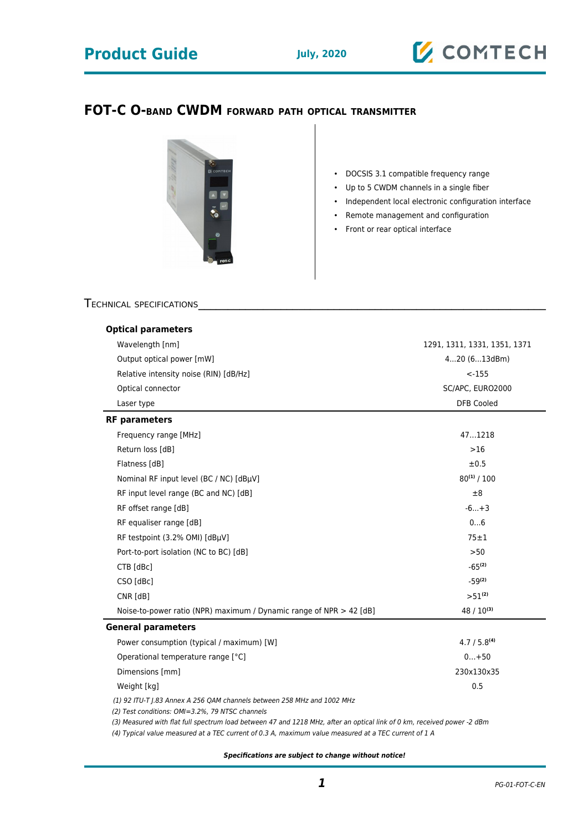# **Product Guide July, 2020**

# **Z** COMTECH

## **FOT-C O-BAND CWDM FORWARD PATH OPTICAL TRANSMITTER**



• DOCSIS 3.1 compatible frequency range

- Up to 5 CWDM channels in a single fiber
- Independent local electronic configuration interface
- Remote management and configuration
- Front or rear optical interface

### TECHNICAL SPECIFICATIONS

| <b>Optical parameters</b>                                                                                                  |                              |
|----------------------------------------------------------------------------------------------------------------------------|------------------------------|
| Wavelength [nm]                                                                                                            | 1291, 1311, 1331, 1351, 1371 |
| Output optical power [mW]                                                                                                  | 420(613dBm)                  |
| Relative intensity noise (RIN) [dB/Hz]                                                                                     | $< -155$                     |
| Optical connector                                                                                                          | SC/APC, EURO2000             |
| Laser type                                                                                                                 | <b>DFB Cooled</b>            |
| <b>RF</b> parameters                                                                                                       |                              |
| Frequency range [MHz]                                                                                                      | 471218                       |
| Return loss [dB]                                                                                                           | >16                          |
| Flatness [dB]                                                                                                              | ±0.5                         |
| Nominal RF input level (BC / NC) [dBµV]                                                                                    | $80^{(1)}/100$               |
| RF input level range (BC and NC) [dB]                                                                                      | ±8                           |
| RF offset range [dB]                                                                                                       | $-6+3$                       |
| RF equaliser range [dB]                                                                                                    | 06                           |
| RF testpoint (3.2% OMI) [dBµV]                                                                                             | $75 \pm 1$                   |
| Port-to-port isolation (NC to BC) [dB]                                                                                     | >50                          |
| CTB [dBc]                                                                                                                  | $-65^{(2)}$                  |
| CSO [dBc]                                                                                                                  | $-59^{(2)}$                  |
| CNR [dB]                                                                                                                   | $>51^{(2)}$                  |
| Noise-to-power ratio (NPR) maximum / Dynamic range of NPR $>$ 42 [dB]                                                      | $48/10^{(3)}$                |
| <b>General parameters</b>                                                                                                  |                              |
| Power consumption (typical / maximum) [W]                                                                                  | 4.7 / 5.8 <sup>(4)</sup>     |
| Operational temperature range [°C]                                                                                         | $0+50$                       |
| Dimensions [mm]                                                                                                            | 230x130x35                   |
| Weight [kg]                                                                                                                | 0.5                          |
| (1) 92 ITU-T J.83 Annex A 256 QAM channels between 258 MHz and 1002 MHz<br>(2) Test conditions: OMI=3.2%, 79 NTSC channels |                              |
| (3) Measured with flat full spectrum load between 47 and 1218 MHz, after an optical link of 0 km, received power -2 dBm    |                              |

(4) Typical value measured at a TEC current of 0.3 A, maximum value measured at a TEC current of 1 A

**Specifications are subject to change without notice!**